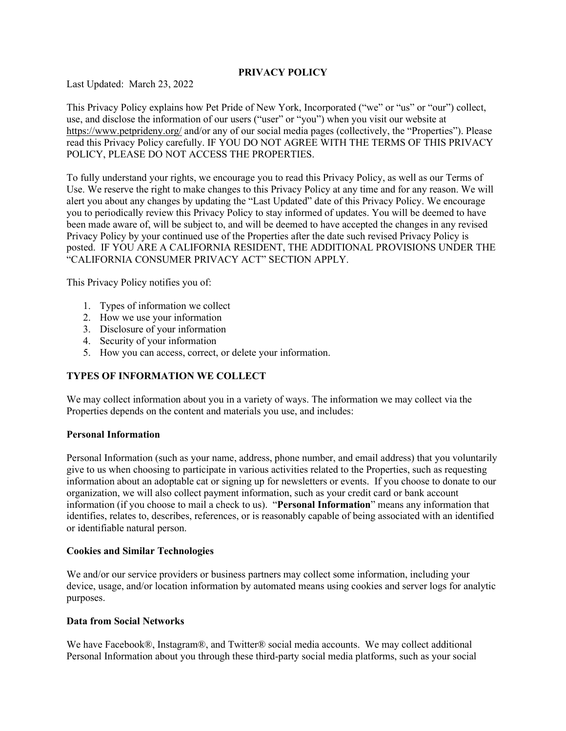### **PRIVACY POLICY**

Last Updated: March 23, 2022

This Privacy Policy explains how Pet Pride of New York, Incorporated ("we" or "us" or "our") collect, use, and disclose the information of our users ("user" or "you") when you visit our website at <https://www.petprideny.org/> and/or any of our social media pages (collectively, the "Properties"). Please read this Privacy Policy carefully. IF YOU DO NOT AGREE WITH THE TERMS OF THIS PRIVACY POLICY, PLEASE DO NOT ACCESS THE PROPERTIES.

To fully understand your rights, we encourage you to read this Privacy Policy, as well as our Terms of Use. We reserve the right to make changes to this Privacy Policy at any time and for any reason. We will alert you about any changes by updating the "Last Updated" date of this Privacy Policy. We encourage you to periodically review this Privacy Policy to stay informed of updates. You will be deemed to have been made aware of, will be subject to, and will be deemed to have accepted the changes in any revised Privacy Policy by your continued use of the Properties after the date such revised Privacy Policy is posted. IF YOU ARE A CALIFORNIA RESIDENT, THE ADDITIONAL PROVISIONS UNDER THE "CALIFORNIA CONSUMER PRIVACY ACT" SECTION APPLY.

This Privacy Policy notifies you of:

- 1. Types of information we collect
- 2. How we use your information
- 3. Disclosure of your information
- 4. Security of your information
- 5. How you can access, correct, or delete your information.

# **TYPES OF INFORMATION WE COLLECT**

We may collect information about you in a variety of ways. The information we may collect via the Properties depends on the content and materials you use, and includes:

### **Personal Information**

Personal Information (such as your name, address, phone number, and email address) that you voluntarily give to us when choosing to participate in various activities related to the Properties, such as requesting information about an adoptable cat or signing up for newsletters or events. If you choose to donate to our organization, we will also collect payment information, such as your credit card or bank account information (if you choose to mail a check to us). "**Personal Information**" means any information that identifies, relates to, describes, references, or is reasonably capable of being associated with an identified or identifiable natural person.

### **Cookies and Similar Technologies**

We and/or our service providers or business partners may collect some information, including your device, usage, and/or location information by automated means using cookies and server logs for analytic purposes.

### **Data from Social Networks**

We have Facebook®, Instagram®, and Twitter® social media accounts. We may collect additional Personal Information about you through these third-party social media platforms, such as your social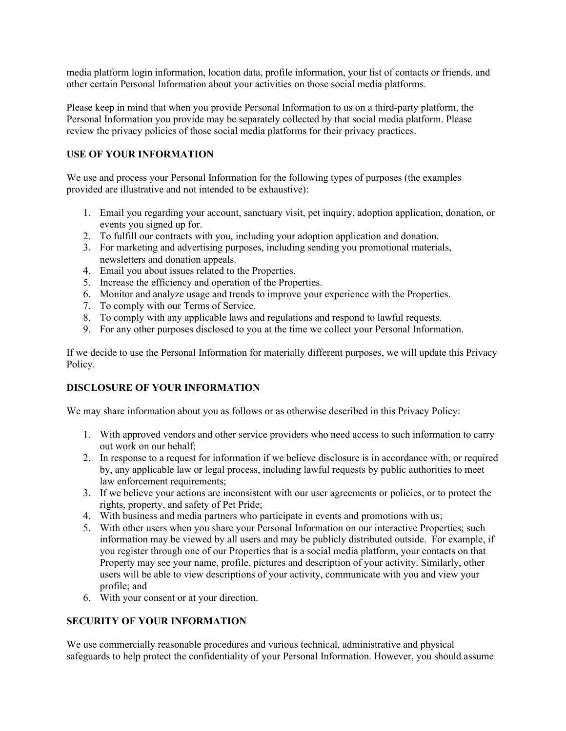media platform login information, location data, profile information, your list of contacts or friends, and other certain Personal Information about your activities on those social media platforms.

Please keep in mind that when you provide Personal Information to us on a third-party platform, the Personal Information you provide may be separately collected by that social media platform. Please review the privacy policies of those social media platforms for their privacy practices.

## **USE OF YOUR INFORMATION**

We use and process your Personal Information for the following types of purposes (the examples provided are illustrative and not intended to be exhaustive):

- 1. Email you regarding your account, sanctuary visit, pet inquiry, adoption application, donation, or events you signed up for.
- 2. To fulfill our contracts with you, including your adoption application and donation.
- 3. For marketing and advertising purposes, including sending you promotional materials, newsletters and donation appeals.
- 4. Email you about issues related to the Properties.
- 5. Increase the efficiency and operation of the Properties.
- 6. Monitor and analyze usage and trends to improve your experience with the Properties.
- 7. To comply with our Terms of Service.
- 8. To comply with any applicable laws and regulations and respond to lawful requests.
- 9. For any other purposes disclosed to you at the time we collect your Personal Information.

If we decide to use the Personal Information for materially different purposes, we will update this Privacy Policy.

## **DISCLOSURE OF YOUR INFORMATION**

We may share information about you as follows or as otherwise described in this Privacy Policy:

- 1. With approved vendors and other service providers who need access to such information to carry out work on our behalf;
- 2. In response to a request for information if we believe disclosure is in accordance with, or required by, any applicable law or legal process, including lawful requests by public authorities to meet law enforcement requirements;
- 3. If we believe your actions are inconsistent with our user agreements or policies, or to protect the rights, property, and safety of Pet Pride;
- 4. With business and media partners who participate in events and promotions with us;
- 5. With other users when you share your Personal Information on our interactive Properties; such information may be viewed by all users and may be publicly distributed outside. For example, if you register through one of our Properties that is a social media platform, your contacts on that Property may see your name, profile, pictures and description of your activity. Similarly, other users will be able to view descriptions of your activity, communicate with you and view your profile; and
- 6. With your consent or at your direction.

## **SECURITY OF YOUR INFORMATION**

We use commercially reasonable procedures and various technical, administrative and physical safeguards to help protect the confidentiality of your Personal Information. However, you should assume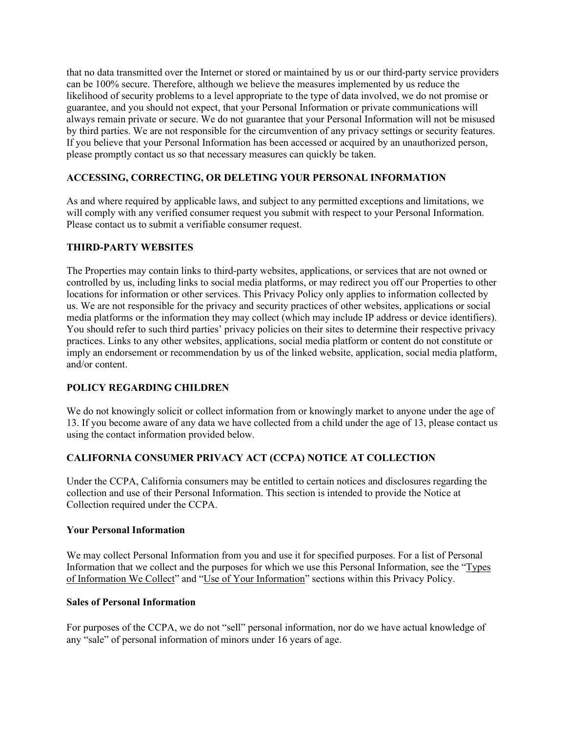that no data transmitted over the Internet or stored or maintained by us or our third-party service providers can be 100% secure. Therefore, although we believe the measures implemented by us reduce the likelihood of security problems to a level appropriate to the type of data involved, we do not promise or guarantee, and you should not expect, that your Personal Information or private communications will always remain private or secure. We do not guarantee that your Personal Information will not be misused by third parties. We are not responsible for the circumvention of any privacy settings or security features. If you believe that your Personal Information has been accessed or acquired by an unauthorized person, please promptly contact us so that necessary measures can quickly be taken.

# **ACCESSING, CORRECTING, OR DELETING YOUR PERSONAL INFORMATION**

As and where required by applicable laws, and subject to any permitted exceptions and limitations, we will comply with any verified consumer request you submit with respect to your Personal Information. Please contact us to submit a verifiable consumer request.

### **THIRD-PARTY WEBSITES**

The Properties may contain links to third-party websites, applications, or services that are not owned or controlled by us, including links to social media platforms, or may redirect you off our Properties to other locations for information or other services. This Privacy Policy only applies to information collected by us. We are not responsible for the privacy and security practices of other websites, applications or social media platforms or the information they may collect (which may include IP address or device identifiers). You should refer to such third parties' privacy policies on their sites to determine their respective privacy practices. Links to any other websites, applications, social media platform or content do not constitute or imply an endorsement or recommendation by us of the linked website, application, social media platform, and/or content.

## **POLICY REGARDING CHILDREN**

We do not knowingly solicit or collect information from or knowingly market to anyone under the age of 13. If you become aware of any data we have collected from a child under the age of 13, please contact us using the contact information provided below.

## **CALIFORNIA CONSUMER PRIVACY ACT (CCPA) NOTICE AT COLLECTION**

Under the CCPA, California consumers may be entitled to certain notices and disclosures regarding the collection and use of their Personal Information. This section is intended to provide the Notice at Collection required under the CCPA.

## **Your Personal Information**

We may collect Personal Information from you and use it for specified purposes. For a list of Personal Information that we collect and the purposes for which we use this Personal Information, see the "Types of Information We Collect" and "Use of Your Information" sections within this Privacy Policy.

### **Sales of Personal Information**

For purposes of the CCPA, we do not "sell" personal information, nor do we have actual knowledge of any "sale" of personal information of minors under 16 years of age.